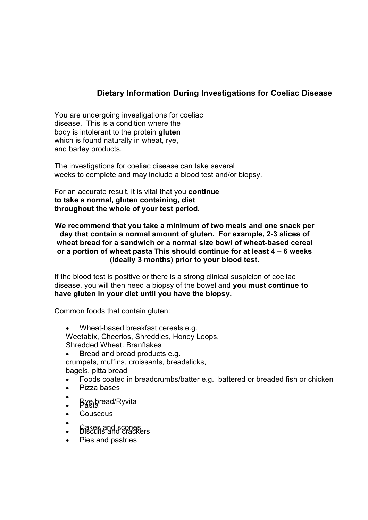## **Dietary Information During Investigations for Coeliac Disease**

You are undergoing investigations for coeliac disease. This is a condition where the body is intolerant to the protein **gluten**  which is found naturally in wheat, rye, and barley products.

The investigations for coeliac disease can take several weeks to complete and may include a blood test and/or biopsy.

For an accurate result, it is vital that you **continue to take a normal, gluten containing, diet throughout the whole of your test period.**

**We recommend that you take a minimum of two meals and one snack per day that contain a normal amount of gluten. For example, 2-3 slices of wheat bread for a sandwich or a normal size bowl of wheat-based cereal or a portion of wheat pasta This should continue for at least 4 – 6 weeks (ideally 3 months) prior to your blood test.**

If the blood test is positive or there is a strong clinical suspicion of coeliac disease, you will then need a biopsy of the bowel and **you must continue to have gluten in your diet until you have the biopsy.**

Common foods that contain gluten:

 Wheat-based breakfast cereals e.g. Weetabix, Cheerios, Shreddies, Honey Loops, Shredded Wheat. Branflakes Bread and bread products e.g.

crumpets, muffins, croissants, breadsticks, bagels, pitta bread

- Foods coated in breadcrumbs/batter e.g. battered or breaded fish or chicken
- Pizza bases
- $\bullet$ • Bye.bread/Ryvita
- **Couscous**
- $\bullet$ **S** Bakes and scones<br>Biscuits and crackers
- Pies and pastries